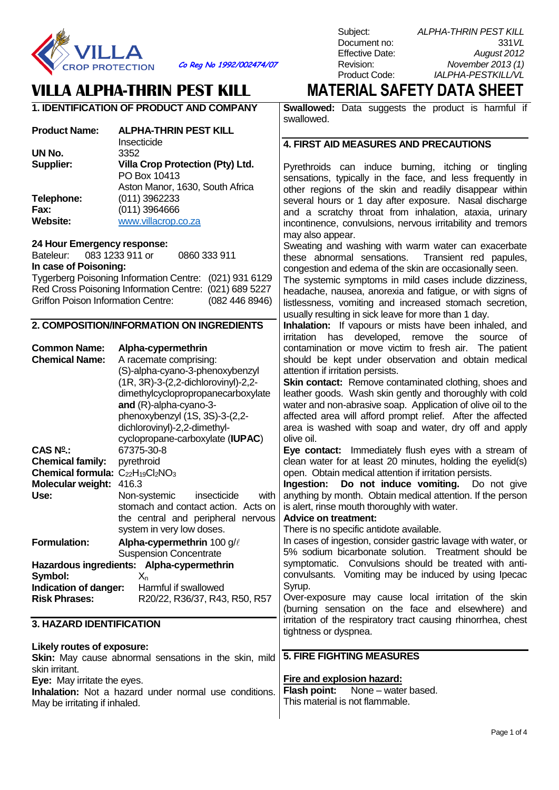

**UN No.** 3352<br> **Supplier: Villa** 

**Telephone:** (011) 3962233<br>**Fax**: (011) 3964666 **Fax:** (011) 3964666<br> **Website:** WWW.villacrop.com

**24 Hour Emergency response:**

**In case of Poisoning:**

**CAS N<sup>o</sup>**

Co Reg No 1992/002474/07 Revision:<br>Product Code:

### **VILLA ALPHA-THRIN PEST KILL MATERIAL SAFETY DATA SHEET 1. IDENTIFICATION OF PRODUCT AND COMPANY**

PO Box 10413

**Website:** [www.villacrop.co.za](http://www.villacrop.co.za/)

Tygerberg Poisoning Information Centre: (021) 931 6129 Red Cross Poisoning Information Centre: (021) 689 5227 Griffon Poison Information Centre: (082 446 8946)

**2. COMPOSITION/INFORMATION ON INGREDIENTS**

**.:** 67375-30-8

**Formulation: Alpha-cypermethrin** 100 g/

**Hazardous ingredients: Alpha-cypermethrin**

**Indication of danger:** Harmful if swallowed

**Use:** Non-systemic insecticide with

**Risk Phrases:** R20/22, R36/37, R43, R50, R57

system in very low doses.

Suspension Concentrate

**Chemical Name:** A racemate comprising:

**and** (R)-alpha-cyano-3-

(S)-alpha-cyano-3-phenoxybenzyl (1R, 3R)-3-(2,2-dichlorovinyl)-2,2 dimethylcyclopropropanecarboxylate

phenoxybenzyl (1S, 3S)-3-(2,2 dichlorovinyl)-2,2-dimethyl-

cyclopropane-carboxylate (**IUPAC**)

stomach and contact action. Acts on the central and peripheral nervous

**Common Name: Alpha-cypermethrin**

**Chemical family:** pyrethroid **Chemical formula:** C<sub>22</sub>H<sub>19</sub>Cl<sub>2</sub>NO<sub>3</sub>

**Molecular weight:** 416.3

Symbol:  $X_n$ 

**3. HAZARD IDENTIFICATION**

**Supplier: Villa Crop Protection (Pty) Ltd.**

Aston Manor, 1630, South Africa

**Product Name: ALPHA-THRIN PEST KILL** Insecticide

Bateleur: 083 1233 911 or 0860 333 911

**Swallowed:** Data suggests the product is harmful if swallowed.

### **4. FIRST AID MEASURES AND PRECAUTIONS**

Pyrethroids can induce burning, itching or tingling sensations, typically in the face, and less frequently in other regions of the skin and readily disappear within several hours or 1 day after exposure. Nasal discharge and a scratchy throat from inhalation, ataxia, urinary incontinence, convulsions, nervous irritability and tremors may also appear.

Sweating and washing with warm water can exacerbate<br>these abnormal sensations. Transient red papules. Transient red papules, congestion and edema of the skin are occasionally seen.

The systemic symptoms in mild cases include dizziness, headache, nausea, anorexia and fatigue, or with signs of listlessness, vomiting and increased stomach secretion, usually resulting in sick leave for more than 1 day.

**Inhalation:** If vapours or mists have been inhaled, and irritation has developed, remove the source of contamination or move victim to fresh air. The patient should be kept under observation and obtain medical attention if irritation persists.

**Skin contact:** Remove contaminated clothing, shoes and leather goods. Wash skin gently and thoroughly with cold water and non-abrasive soap. Application of olive oil to the affected area will afford prompt relief. After the affected area is washed with soap and water, dry off and apply olive oil.

**Eye contact:** Immediately flush eyes with a stream of clean water for at least 20 minutes, holding the eyelid(s) open. Obtain medical attention if irritation persists.

**Ingestion:** Do not induce vomiting. Do not give anything by month. Obtain medical attention. If the person is alert, rinse mouth thoroughly with water.

### **Advice on treatment:**

**Fire and explosion hazard:**

**Flash point:** None – water based. This material is not flammable.

There is no specific antidote available.

In cases of ingestion, consider gastric lavage with water, or 5% sodium bicarbonate solution. Treatment should be symptomatic. Convulsions should be treated with anticonvulsants. Vomiting may be induced by using Ipecac Syrup.

Over-exposure may cause local irritation of the skin (burning sensation on the face and elsewhere) and irritation of the respiratory tract causing rhinorrhea, chest tightness or dyspnea.

#### **Likely routes of exposure: Skin:** May cause abnormal sensations in the skin, mild **5. FIRE FIGHTING MEASURES**

**Eye:** May irritate the eyes.

skin irritant.

**Inhalation:** Not a hazard under normal use conditions. May be irritating if inhaled.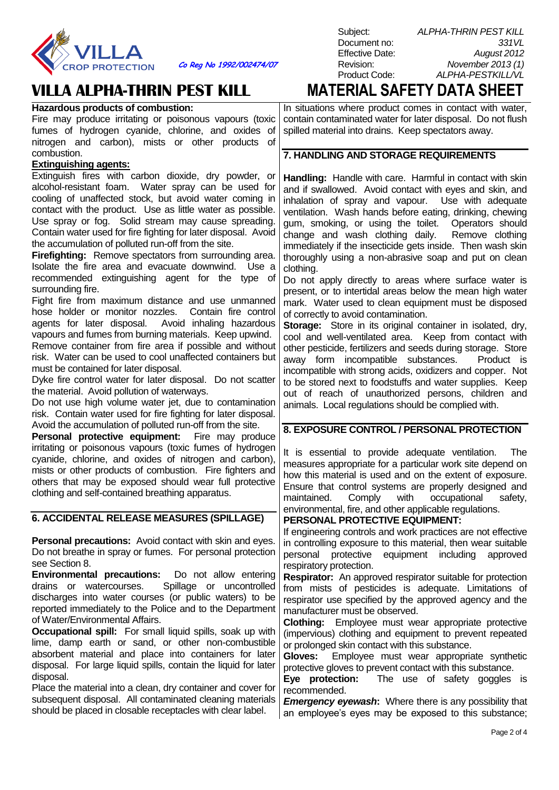

**Co Reg No 1992/002474/07** Revision: *November 2013 (1)*

should be placed in closable receptacles with clear label.

| Hazardous products of combustion:                                                                  | In situations where product comes in                                         |  |
|----------------------------------------------------------------------------------------------------|------------------------------------------------------------------------------|--|
| Fire may produce irritating or poisonous vapours (toxic                                            | contain contaminated water for later dis                                     |  |
| fumes of hydrogen cyanide, chlorine, and oxides of                                                 | spilled material into drains. Keep specta                                    |  |
| nitrogen and carbon), mists or other products of                                                   |                                                                              |  |
| combustion.                                                                                        | 7. HANDLING AND STORAGE REQUI                                                |  |
| <b>Extinguishing agents:</b>                                                                       |                                                                              |  |
| Extinguish fires with carbon dioxide, dry powder, or                                               | Handling: Handle with care. Harmful                                          |  |
| alcohol-resistant foam. Water spray can be used for                                                | and if swallowed. Avoid contact with $\epsilon$                              |  |
| cooling of unaffected stock, but avoid water coming in                                             | inhalation of spray and vapour.<br>- U                                       |  |
| contact with the product. Use as little water as possible.                                         | ventilation. Wash hands before eating                                        |  |
| Use spray or fog. Solid stream may cause spreading.                                                | gum, smoking, or using the toilet.                                           |  |
| Contain water used for fire fighting for later disposal. Avoid                                     | change and wash clothing daily.                                              |  |
| the accumulation of polluted run-off from the site.                                                | immediately if the insecticide gets inside                                   |  |
| Firefighting: Remove spectators from surrounding area.                                             | thoroughly using a non-abrasive soap                                         |  |
| Isolate the fire area and evacuate downwind. Use a                                                 | clothing.                                                                    |  |
| recommended extinguishing agent for the type of                                                    | Do not apply directly to areas where                                         |  |
| surrounding fire.                                                                                  | present, or to intertidal areas below the                                    |  |
| Fight fire from maximum distance and use unmanned                                                  | mark. Water used to clean equipment                                          |  |
| hose holder or monitor nozzles. Contain fire control                                               | of correctly to avoid contamination.                                         |  |
| agents for later disposal. Avoid inhaling hazardous                                                | Storage: Store in its original contain                                       |  |
| vapours and fumes from burning materials. Keep upwind.                                             | cool and well-ventilated area. Keep                                          |  |
| Remove container from fire area if possible and without                                            | other pesticide, fertilizers and seeds dui                                   |  |
| risk. Water can be used to cool unaffected containers but<br>must be contained for later disposal. | away form incompatible substance                                             |  |
| Dyke fire control water for later disposal. Do not scatter                                         | incompatible with strong acids, oxidizer                                     |  |
| the material. Avoid pollution of waterways.                                                        | to be stored next to foodstuffs and wat                                      |  |
| Do not use high volume water jet, due to contamination                                             | out of reach of unauthorized perso                                           |  |
| risk. Contain water used for fire fighting for later disposal.                                     | animals. Local regulations should be co                                      |  |
| Avoid the accumulation of polluted run-off from the site.                                          |                                                                              |  |
| Personal protective equipment: Fire may produce                                                    | 8. EXPOSURE CONTROL / PERSONA                                                |  |
| irritating or poisonous vapours (toxic fumes of hydrogen                                           |                                                                              |  |
| cyanide, chlorine, and oxides of nitrogen and carbon),                                             | It is essential to provide adequate                                          |  |
| mists or other products of combustion. Fire fighters and                                           | measures appropriate for a particular w                                      |  |
| others that may be exposed should wear full protective                                             | how this material is used and on the e                                       |  |
| clothing and self-contained breathing apparatus.                                                   | Ensure that control systems are prop                                         |  |
|                                                                                                    | Comply<br>maintained.<br>with<br>OCCL                                        |  |
| 6. ACCIDENTAL RELEASE MEASURES (SPILLAGE)                                                          | environmental, fire, and other applicable                                    |  |
|                                                                                                    | PERSONAL PROTECTIVE EQUIPMEI                                                 |  |
| <b>Personal precautions:</b> Avoid contact with skin and eyes.                                     | If engineering controls and work practic                                     |  |
| Do not breathe in spray or fumes. For personal protection                                          | in controlling exposure to this material,                                    |  |
| see Section 8.                                                                                     | personal<br>protective<br>equipment<br>ino in                                |  |
| <b>Environmental precautions:</b> Do not allow entering                                            | respiratory protection.                                                      |  |
| Spillage or uncontrolled<br>drains or watercourses.                                                | Respirator: An approved respirator su                                        |  |
| discharges into water courses (or public waters) to be                                             | from mists of pesticides is adequa                                           |  |
| reported immediately to the Police and to the Department                                           | respirator use specified by the approve                                      |  |
| of Water/Environmental Affairs.                                                                    | manufacturer must be observed.                                               |  |
| <b>Occupational spill:</b> For small liquid spills, soak up with                                   | Clothing:<br>Employee must wear app                                          |  |
| lime, damp earth or sand, or other non-combustible                                                 | (impervious) clothing and equipment to                                       |  |
| absorbent material and place into containers for later                                             | or prolonged skin contact with this subst                                    |  |
| disposal. For large liquid spills, contain the liquid for later                                    | Gloves:<br>Employee must wear app                                            |  |
| disposal.                                                                                          | protective gloves to prevent contact with<br>Eye protection:<br>The use of s |  |
| Place the material into a clean, dry container and cover for                                       | recommended.                                                                 |  |
| subsequent disposal. All contaminated cleaning materials                                           | <b>Emergency evewash:</b> Where there is                                     |  |

Subject: *ALPHA-THRIN PEST KILL* Document no: *331VL* Effective Date: *August 2012* Product Code: *ALPHA-PESTKILL/VL*

**VILLA ALPHA-THRIN PEST KILL MATERIAL SAFETY DATA SHEET**

contact with water, posal. Do not flush ators away.

### **IREMENTS**

in contact with skin eves and skin, and ise with adequate , drinking, chewing Operators should Remove clothing e. Then wash skin and put on clean

e surface water is e mean high water must be disposed

**Starage:** *in isolated, dry,* from contact with ring storage. Store es. Product is incompatible and copper. Not ter supplies. Keep ons, children and omplied with.

### **AL PROTECTION**

ventilation. The vork site depend on extent of exposure. erly designed and upational safety, e regulations.

### **PERSONAL PROTECTIVE EQUIPMENT:**

es are not effective then wear suitable cluding approved

**Ritable for protection** ate. Limitations of ed agency and the

**Propriate** protective o prevent repeated tance.

propriate synthetic า this substance.

safety goggles is

*Emergency eyewash***:** Where there is any possibility that an employee's eyes may be exposed to this substance;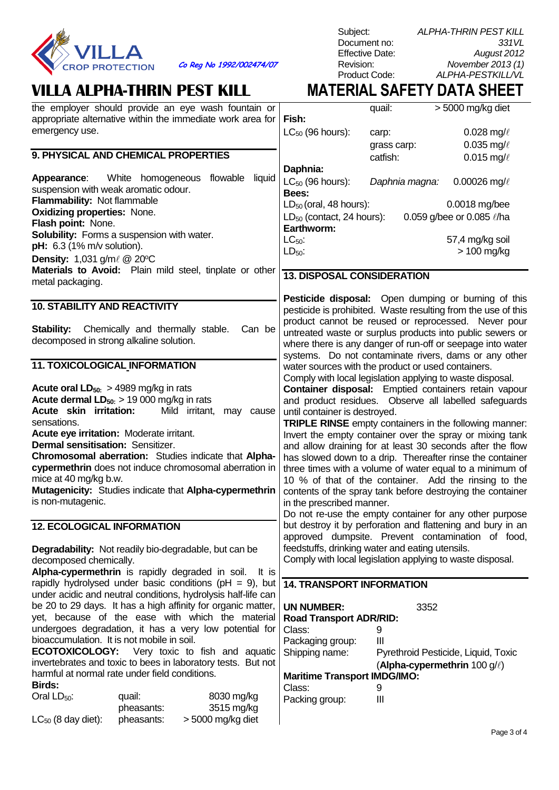

**Co Reg No 1992/002474/07** Revision:<br>Product Code:

# **VILLA ALPHA-THRIN PEST KILL MATERIAL SAFETY DATA SHEET**

| the employer should provide an eye wash fountain or<br>appropriate alternative within the immediate work area for | Fish:                                                                                                                 | quail:                                     | > 5000 mg/kg diet                   |
|-------------------------------------------------------------------------------------------------------------------|-----------------------------------------------------------------------------------------------------------------------|--------------------------------------------|-------------------------------------|
| emergency use.                                                                                                    | $LC_{50}$ (96 hours):                                                                                                 | carp:                                      | 0.028 mg/ $\ell$                    |
|                                                                                                                   |                                                                                                                       | grass carp:                                | 0.035 mg/ $\ell$                    |
| 9. PHYSICAL AND CHEMICAL PROPERTIES                                                                               |                                                                                                                       | catfish:                                   | 0.015 mg/ $\ell$                    |
|                                                                                                                   | Daphnia:                                                                                                              |                                            |                                     |
| <b>Appearance:</b> White homogeneous flowable<br>liquid                                                           | $LC_{50}$ (96 hours):                                                                                                 | Daphnia magna:                             | 0.00026 mg/ $\ell$                  |
| suspension with weak aromatic odour.                                                                              | Bees:                                                                                                                 |                                            |                                     |
| Flammability: Not flammable                                                                                       | $LD_{50}$ (oral, 48 hours):                                                                                           |                                            | 0.0018 mg/bee                       |
| <b>Oxidizing properties: None.</b>                                                                                | $LD_{50}$ (contact, 24 hours):                                                                                        |                                            | 0.059 g/bee or 0.085 l/ha           |
| Flash point: None.                                                                                                | Earthworm:                                                                                                            |                                            |                                     |
| Solubility: Forms a suspension with water.                                                                        | $LC_{50}$ :                                                                                                           |                                            | 57,4 mg/kg soil                     |
| pH: 6.3 (1% m/v solution).                                                                                        | $LD50$ :                                                                                                              |                                            | $> 100$ mg/kg                       |
| <b>Density:</b> 1,031 g/m $\ell$ @ 20°C                                                                           |                                                                                                                       |                                            |                                     |
| Materials to Avoid: Plain mild steel, tinplate or other                                                           | <b>13. DISPOSAL CONSIDERATION</b>                                                                                     |                                            |                                     |
| metal packaging.                                                                                                  |                                                                                                                       |                                            |                                     |
|                                                                                                                   | <b>Pesticide disposal:</b> Open dumping or burning of this                                                            |                                            |                                     |
| <b>10. STABILITY AND REACTIVITY</b>                                                                               | pesticide is prohibited. Waste resulting from the use of this                                                         |                                            |                                     |
|                                                                                                                   | product cannot be reused or reprocessed. Never pour                                                                   |                                            |                                     |
| Stability: Chemically and thermally stable.<br>Can be                                                             | untreated waste or surplus products into public sewers or                                                             |                                            |                                     |
| decomposed in strong alkaline solution.                                                                           | where there is any danger of run-off or seepage into water                                                            |                                            |                                     |
|                                                                                                                   | systems. Do not contaminate rivers, dams or any other                                                                 |                                            |                                     |
| 11. TOXICOLOGICAL INFORMATION                                                                                     | water sources with the product or used containers.                                                                    |                                            |                                     |
|                                                                                                                   | Comply with local legislation applying to waste disposal.                                                             |                                            |                                     |
| <b>Acute oral LD</b> <sub>50:</sub> $>$ 4989 mg/kg in rats                                                        | Container disposal: Emptied containers retain vapour                                                                  |                                            |                                     |
| <b>Acute dermal LD</b> <sub>50:</sub> $> 19000$ mg/kg in rats<br>Acute skin irritation:<br>Mild irritant,         | and product residues. Observe all labelled safeguards                                                                 |                                            |                                     |
| may cause<br>sensations.                                                                                          | until container is destroyed.                                                                                         |                                            |                                     |
| Acute eye irritation: Moderate irritant.                                                                          | TRIPLE RINSE empty containers in the following manner:                                                                |                                            |                                     |
| <b>Dermal sensitisation: Sensitizer.</b>                                                                          | Invert the empty container over the spray or mixing tank<br>and allow draining for at least 30 seconds after the flow |                                            |                                     |
| Chromosomal aberration: Studies indicate that Alpha-                                                              | has slowed down to a drip. Thereafter rinse the container                                                             |                                            |                                     |
| cypermethrin does not induce chromosomal aberration in                                                            | three times with a volume of water equal to a minimum of                                                              |                                            |                                     |
| mice at 40 mg/kg b.w.                                                                                             | 10 % of that of the container. Add the rinsing to the                                                                 |                                            |                                     |
| Mutagenicity: Studies indicate that Alpha-cypermethrin                                                            | contents of the spray tank before destroying the container                                                            |                                            |                                     |
| is non-mutagenic.                                                                                                 | in the prescribed manner.                                                                                             |                                            |                                     |
|                                                                                                                   | Do not re-use the empty container for any other purpose                                                               |                                            |                                     |
| <b>12. ECOLOGICAL INFORMATION</b>                                                                                 | but destroy it by perforation and flattening and bury in an                                                           |                                            |                                     |
|                                                                                                                   | approved dumpsite. Prevent contamination of food,                                                                     |                                            |                                     |
| <b>Degradability:</b> Not readily bio-degradable, but can be                                                      | feedstuffs, drinking water and eating utensils.                                                                       |                                            |                                     |
| decomposed chemically.                                                                                            | Comply with local legislation applying to waste disposal.                                                             |                                            |                                     |
| Alpha-cypermethrin is rapidly degraded in soil. It is                                                             |                                                                                                                       |                                            |                                     |
| rapidly hydrolysed under basic conditions ( $pH = 9$ ), but                                                       | <b>14. TRANSPORT INFORMATION</b>                                                                                      |                                            |                                     |
| under acidic and neutral conditions, hydrolysis half-life can                                                     |                                                                                                                       |                                            |                                     |
| be 20 to 29 days. It has a high affinity for organic matter,                                                      | <b>UN NUMBER:</b>                                                                                                     | 3352                                       |                                     |
| yet, because of the ease with which the material                                                                  | <b>Road Transport ADR/RID:</b>                                                                                        |                                            |                                     |
| undergoes degradation, it has a very low potential for                                                            | Class:                                                                                                                | 9                                          |                                     |
| bioaccumulation. It is not mobile in soil.                                                                        | Packaging group:                                                                                                      | Ш                                          |                                     |
| <b>ECOTOXICOLOGY:</b><br>Very toxic to fish and aquatic                                                           | Shipping name:                                                                                                        |                                            | Pyrethroid Pesticide, Liquid, Toxic |
| invertebrates and toxic to bees in laboratory tests. But not<br>harmful at normal rate under field conditions.    |                                                                                                                       | (Alpha-cypermethrin $100 \text{ g}/\ell$ ) |                                     |
| <b>Birds:</b>                                                                                                     | <b>Maritime Transport IMDG/IMO:</b>                                                                                   |                                            |                                     |
| Oral LD <sub>50</sub> :<br>8030 mg/kg<br>quail:                                                                   | Class:                                                                                                                | 9                                          |                                     |
| 3515 mg/kg<br>pheasants:                                                                                          | Packing group:                                                                                                        | Ш                                          |                                     |
| $LC_{50}$ (8 day diet):<br>pheasants:<br>$>$ 5000 mg/kg diet                                                      |                                                                                                                       |                                            |                                     |